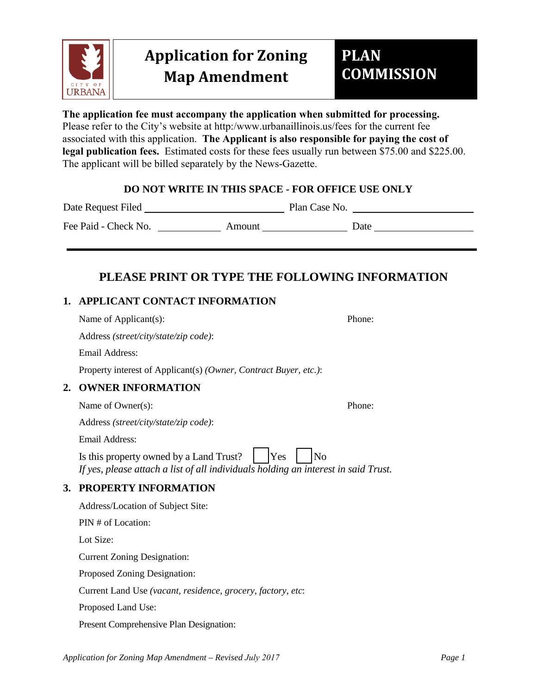

**The application fee must accompany the application when submitted for processing.**  Please refer to the City's website at http:/www.urbanaillinois.us/fees for the current fee associated with this application. **The Applicant is also responsible for paying the cost of legal publication fees.** Estimated costs for these fees usually run between \$75.00 and \$225.00. The applicant will be billed separately by the News-Gazette.

## **DO NOT WRITE IN THIS SPACE - FOR OFFICE USE ONLY**

Date Request Filed Plan Case No.

Fee Paid - Check No. Amount Date

# **PLEASE PRINT OR TYPE THE FOLLOWING INFORMATION**

## **1. APPLICANT CONTACT INFORMATION**

|    | Name of Applicant(s):                                                                                                                                  | Phone: |
|----|--------------------------------------------------------------------------------------------------------------------------------------------------------|--------|
|    | Address (street/city/state/zip code):                                                                                                                  |        |
|    | Email Address:                                                                                                                                         |        |
|    | Property interest of Applicant(s) (Owner, Contract Buyer, etc.):                                                                                       |        |
| 2. | <b>OWNER INFORMATION</b>                                                                                                                               |        |
|    | Name of Owner(s):                                                                                                                                      | Phone: |
|    | Address (street/city/state/zip code):                                                                                                                  |        |
|    | <b>Email Address:</b>                                                                                                                                  |        |
|    | Is this property owned by a Land Trust?<br>Yes<br>N <sub>o</sub><br>If yes, please attach a list of all individuals holding an interest in said Trust. |        |
| 3. | PROPERTY INFORMATION                                                                                                                                   |        |
|    | Address/Location of Subject Site:                                                                                                                      |        |
|    | PIN # of Location:                                                                                                                                     |        |
|    | Lot Size:                                                                                                                                              |        |
|    | <b>Current Zoning Designation:</b>                                                                                                                     |        |
|    | Proposed Zoning Designation:                                                                                                                           |        |
|    | Current Land Use (vacant, residence, grocery, factory, etc:                                                                                            |        |
|    |                                                                                                                                                        |        |

Proposed Land Use:

Present Comprehensive Plan Designation: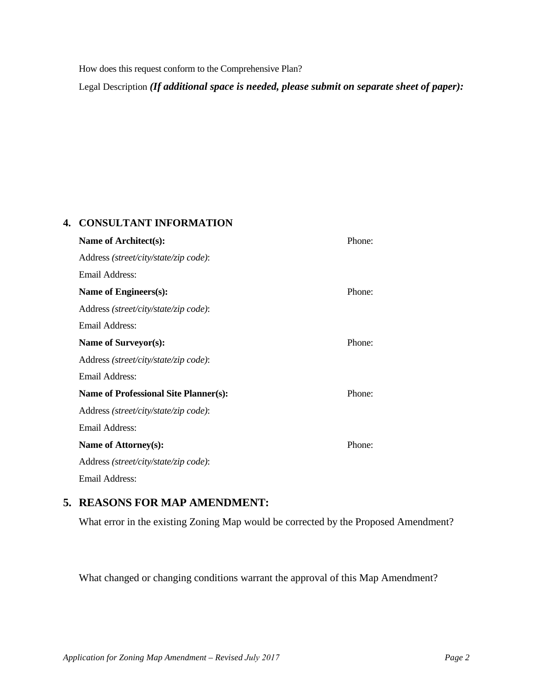How does this request conform to the Comprehensive Plan?

Legal Description *(If additional space is needed, please submit on separate sheet of paper):*

#### **4. CONSULTANT INFORMATION**

| Name of Architect(s):                                  |        |  |  |
|--------------------------------------------------------|--------|--|--|
| Address (street/city/state/zip code):                  |        |  |  |
| Email Address:                                         |        |  |  |
| Name of Engineers(s):                                  |        |  |  |
| Address (street/city/state/zip code):                  |        |  |  |
| Email Address:                                         |        |  |  |
| Name of Surveyor(s):                                   |        |  |  |
| Address (street/city/state/zip code):                  |        |  |  |
| Email Address:                                         |        |  |  |
| Phone:<br><b>Name of Professional Site Planner(s):</b> |        |  |  |
| Address (street/city/state/zip code):                  |        |  |  |
| Email Address:                                         |        |  |  |
| Name of Attorney(s):                                   | Phone: |  |  |
| Address (street/city/state/zip code):                  |        |  |  |
| Email Address:                                         |        |  |  |
|                                                        |        |  |  |

## **5. REASONS FOR MAP AMENDMENT:**

What error in the existing Zoning Map would be corrected by the Proposed Amendment?

What changed or changing conditions warrant the approval of this Map Amendment?